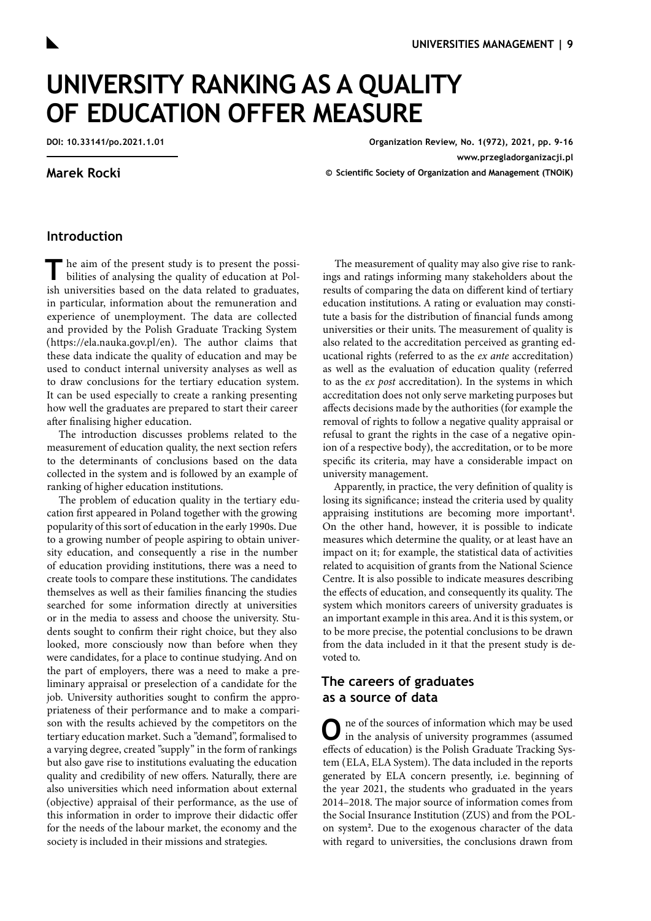# **UNIVERSITY RANKING AS A QUALITY OF EDUCATION OFFER MEASURE**

**DOI: 10.33141/po.2021.1.01**

## **Marek Rocki**

**Organization Review, No. 1(972), 2021, pp. 9-16 [www.przegladorganizacji.pl](http://www.przegladorganizacji.pl) © Scientific Society of Organization and Management (TNOiK)**

## **Introduction**

The aim of the present study is to present the possi-<br>bilities of analysing the quality of education at Polish universities based on the data related to graduates, in particular, information about the remuneration and experience of unemployment. The data are collected and provided by the Polish Graduate Tracking System (<https://ela.nauka.gov.pl/en>). The author claims that these data indicate the quality of education and may be used to conduct internal university analyses as well as to draw conclusions for the tertiary education system. It can be used especially to create a ranking presenting how well the graduates are prepared to start their career after finalising higher education.

The introduction discusses problems related to the measurement of education quality, the next section refers to the determinants of conclusions based on the data collected in the system and is followed by an example of ranking of higher education institutions.

The problem of education quality in the tertiary education first appeared in Poland together with the growing popularity of this sort of education in the early 1990s. Due to a growing number of people aspiring to obtain university education, and consequently a rise in the number of education providing institutions, there was a need to create tools to compare these institutions. The candidates themselves as well as their families financing the studies searched for some information directly at universities or in the media to assess and choose the university. Students sought to confirm their right choice, but they also looked, more consciously now than before when they were candidates, for a place to continue studying. And on the part of employers, there was a need to make a preliminary appraisal or preselection of a candidate for the job. University authorities sought to confirm the appropriateness of their performance and to make a comparison with the results achieved by the competitors on the tertiary education market. Such a "demand", formalised to a varying degree, created "supply" in the form of rankings but also gave rise to institutions evaluating the education quality and credibility of new offers. Naturally, there are also universities which need information about external (objective) appraisal of their performance, as the use of this information in order to improve their didactic offer for the needs of the labour market, the economy and the society is included in their missions and strategies.

The measurement of quality may also give rise to rankings and ratings informing many stakeholders about the results of comparing the data on different kind of tertiary education institutions. A rating or evaluation may constitute a basis for the distribution of financial funds among universities or their units. The measurement of quality is also related to the accreditation perceived as granting educational rights (referred to as the *ex ante* accreditation) as well as the evaluation of education quality (referred to as the *ex post* accreditation). In the systems in which accreditation does not only serve marketing purposes but affects decisions made by the authorities (for example the removal of rights to follow a negative quality appraisal or refusal to grant the rights in the case of a negative opinion of a respective body), the accreditation, or to be more specific its criteria, may have a considerable impact on university management.

Apparently, in practice, the very definition of quality is losing its significance; instead the criteria used by quality appraising institutions are becoming more important**[1](#page-6-0)** . On the other hand, however, it is possible to indicate measures which determine the quality, or at least have an impact on it; for example, the statistical data of activities related to acquisition of grants from the National Science Centre. It is also possible to indicate measures describing the effects of education, and consequently its quality. The system which monitors careers of university graduates is an important example in this area. And it is this system, or to be more precise, the potential conclusions to be drawn from the data included in it that the present study is devoted to.

# **The careers of graduates as a source of data**

**O**ne of the sources of information which may be used in the analysis of university programmes (assumed effects of education) is the Polish Graduate Tracking System (ELA, ELA System). The data included in the reports generated by ELA concern presently, i.e. beginning of the year 2021, the students who graduated in the years 2014–2018. The major source of information comes from the Social Insurance Institution (ZUS) and from the POLon system**[2](#page-6-0)** . Due to the exogenous character of the data with regard to universities, the conclusions drawn from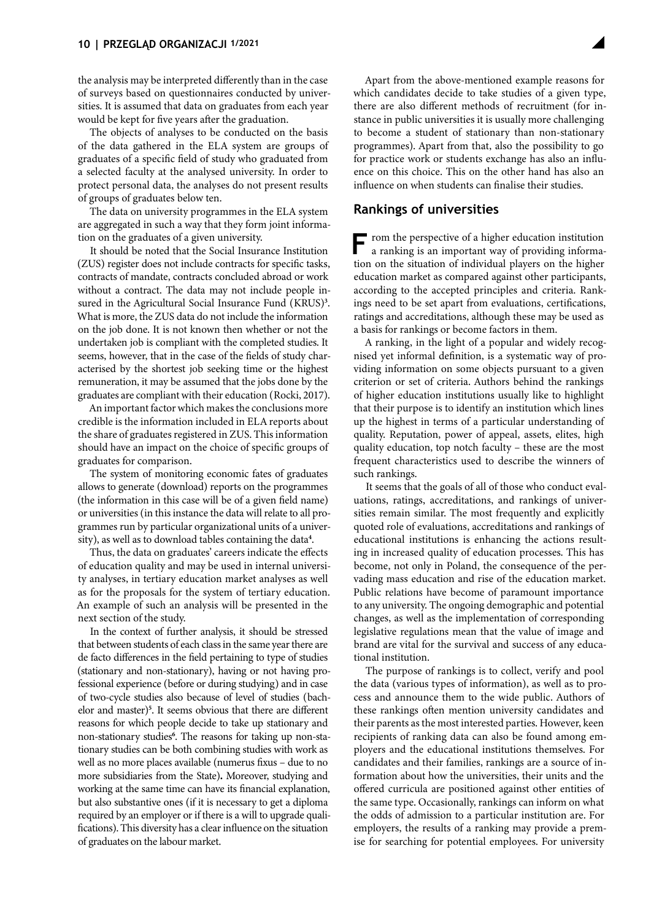the analysis may be interpreted differently than in the case of surveys based on questionnaires conducted by universities. It is assumed that data on graduates from each year would be kept for five years after the graduation.

The objects of analyses to be conducted on the basis of the data gathered in the ELA system are groups of graduates of a specific field of study who graduated from a selected faculty at the analysed university. In order to protect personal data, the analyses do not present results of groups of graduates below ten.

The data on university programmes in the ELA system are aggregated in such a way that they form joint information on the graduates of a given university.

It should be noted that the Social Insurance Institution (ZUS) register does not include contracts for specific tasks, contracts of mandate, contracts concluded abroad or work without a contract. The data may not include people in-sured in the Agricultural Social Insurance Fund (KRUS)<sup>[3](#page-6-0)</sup>. What is more, the ZUS data do not include the information on the job done. It is not known then whether or not the undertaken job is compliant with the completed studies. It seems, however, that in the case of the fields of study characterised by the shortest job seeking time or the highest remuneration, it may be assumed that the jobs done by the graduates are compliant with their education [\(Rocki, 2017\).](#page-7-0)

An important factor which makes the conclusions more credible is the information included in ELA reports about the share of graduates registered in ZUS. This information should have an impact on the choice of specific groups of graduates for comparison.

The system of monitoring economic fates of graduates allows to generate (download) reports on the programmes (the information in this case will be of a given field name) or universities (in this instance the data will relate to all programmes run by particular organizational units of a university), as well as to download tables containing the data**[4](#page-6-0)** .

Thus, the data on graduates' careers indicate the effects of education quality and may be used in internal university analyses, in tertiary education market analyses as well as for the proposals for the system of tertiary education. An example of such an analysis will be presented in the next section of the study.

In the context of further analysis, it should be stressed that between students of each class in the same year there are de facto differences in the field pertaining to type of studies (stationary and non-stationary), having or not having professional experience (before or during studying) and in case of two-cycle studies also because of level of studies (bachelor and master)**[5](#page-6-0)** . It seems obvious that there are different reasons for which people decide to take up stationary and non-stationary studies**[6](#page-6-0)** . The reasons for taking up non-stationary studies can be both combining studies with work as well as no more places available (numerus fixus – due to no more subsidiaries from the State)**.** Moreover, studying and working at the same time can have its financial explanation, but also substantive ones (if it is necessary to get a diploma required by an employer or if there is a will to upgrade qualifications). This diversity has a clear influence on the situation of graduates on the labour market.

Apart from the above-mentioned example reasons for which candidates decide to take studies of a given type, there are also different methods of recruitment (for instance in public universities it is usually more challenging to become a student of stationary than non-stationary programmes). Apart from that, also the possibility to go for practice work or students exchange has also an influence on this choice. This on the other hand has also an influence on when students can finalise their studies.

## **Rankings of universities**

**F**rom the perspective of a higher education institution a ranking is an important way of providing information on the situation of individual players on the higher education market as compared against other participants, according to the accepted principles and criteria. Rankings need to be set apart from evaluations, certifications, ratings and accreditations, although these may be used as a basis for rankings or become factors in them.

A ranking, in the light of a popular and widely recognised yet informal definition, is a systematic way of providing information on some objects pursuant to a given criterion or set of criteria. Authors behind the rankings of higher education institutions usually like to highlight that their purpose is to identify an institution which lines up the highest in terms of a particular understanding of quality. Reputation, power of appeal, assets, elites, high quality education, top notch faculty – these are the most frequent characteristics used to describe the winners of such rankings.

It seems that the goals of all of those who conduct evaluations, ratings, accreditations, and rankings of universities remain similar. The most frequently and explicitly quoted role of evaluations, accreditations and rankings of educational institutions is enhancing the actions resulting in increased quality of education processes. This has become, not only in Poland, the consequence of the pervading mass education and rise of the education market. Public relations have become of paramount importance to any university. The ongoing demographic and potential changes, as well as the implementation of corresponding legislative regulations mean that the value of image and brand are vital for the survival and success of any educational institution.

The purpose of rankings is to collect, verify and pool the data (various types of information), as well as to process and announce them to the wide public. Authors of these rankings often mention university candidates and their parents as the most interested parties. However, keen recipients of ranking data can also be found among employers and the educational institutions themselves. For candidates and their families, rankings are a source of information about how the universities, their units and the offered curricula are positioned against other entities of the same type. Occasionally, rankings can inform on what the odds of admission to a particular institution are. For employers, the results of a ranking may provide a premise for searching for potential employees. For university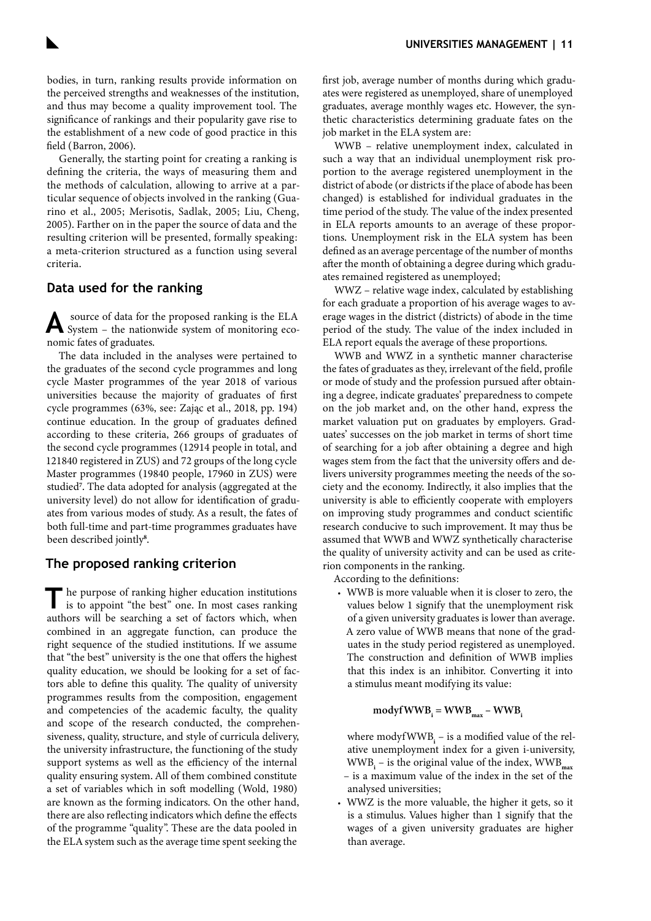bodies, in turn, ranking results provide information on the perceived strengths and weaknesses of the institution, and thus may become a quality improvement tool. The significance of rankings and their popularity gave rise to the establishment of a new code of good practice in this field [\(Barron, 2006\)](#page-7-0).

Generally, the starting point for creating a ranking is defining the criteria, the ways of measuring them and the methods of calculation, allowing to arrive at a particular sequence of objects involved in the ranking [\(Gua](#page-7-0)[rino et al., 2005; Merisotis, Sadlak, 2005; Liu, Cheng,](#page-7-0)  [2005\).](#page-7-0) Farther on in the paper the source of data and the resulting criterion will be presented, formally speaking: a meta-criterion structured as a function using several criteria.

## **Data used for the ranking**

**A** source of data for the proposed ranking is the ELA System – the nationwide system of monitoring economic fates of graduates.

The data included in the analyses were pertained to the graduates of the second cycle programmes and long cycle Master programmes of the year 2018 of various universities because the majority of graduates of first cycle programmes [\(63%, see: Zając et al., 2018, pp. 194\)](#page-7-0) continue education. In the group of graduates defined according to these criteria, 266 groups of graduates of the second cycle programmes (12914 people in total, and 121840 registered in ZUS) and 72 groups of the long cycle Master programmes (19840 people, 17960 in ZUS) were studied**[7](#page-6-0)** . The data adopted for analysis (aggregated at the university level) do not allow for identification of graduates from various modes of study. As a result, the fates of both full-time and part-time programmes graduates have been described jointly**[8](#page-6-0)** .

## **The proposed ranking criterion**

The purpose of ranking higher education institutions is to appoint "the best" one. In most cases ranking authors will be searching a set of factors which, when combined in an aggregate function, can produce the right sequence of the studied institutions. If we assume that "the best" university is the one that offers the highest quality education, we should be looking for a set of factors able to define this quality. The quality of university programmes results from the composition, engagement and competencies of the academic faculty, the quality and scope of the research conducted, the comprehensiveness, quality, structure, and style of curricula delivery, the university infrastructure, the functioning of the study support systems as well as the efficiency of the internal quality ensuring system. All of them combined constitute a set of variables which in soft modelling [\(Wold, 1980\)](#page-7-0) are known as the forming indicators. On the other hand, there are also reflecting indicators which define the effects of the programme "quality". These are the data pooled in the ELA system such as the average time spent seeking the

first job, average number of months during which graduates were registered as unemployed, share of unemployed graduates, average monthly wages etc. However, the synthetic characteristics determining graduate fates on the job market in the ELA system are:

WWB – relative unemployment index, calculated in such a way that an individual unemployment risk proportion to the average registered unemployment in the district of abode (or districts if the place of abode has been changed) is established for individual graduates in the time period of the study. The value of the index presented in ELA reports amounts to an average of these proportions. Unemployment risk in the ELA system has been defined as an average percentage of the number of months after the month of obtaining a degree during which graduates remained registered as unemployed;

WWZ – relative wage index, calculated by establishing for each graduate a proportion of his average wages to average wages in the district (districts) of abode in the time period of the study. The value of the index included in ELA report equals the average of these proportions.

WWB and WWZ in a synthetic manner characterise the fates of graduates as they, irrelevant of the field, profile or mode of study and the profession pursued after obtaining a degree, indicate graduates' preparedness to compete on the job market and, on the other hand, express the market valuation put on graduates by employers. Graduates' successes on the job market in terms of short time of searching for a job after obtaining a degree and high wages stem from the fact that the university offers and delivers university programmes meeting the needs of the society and the economy. Indirectly, it also implies that the university is able to efficiently cooperate with employers on improving study programmes and conduct scientific research conducive to such improvement. It may thus be assumed that WWB and WWZ synthetically characterise the quality of university activity and can be used as criterion components in the ranking.

According to the definitions:

• WWB is more valuable when it is closer to zero, the values below 1 signify that the unemployment risk of a given university graduates is lower than average. A zero value of WWB means that none of the graduates in the study period registered as unemployed. The construction and definition of WWB implies that this index is an inhibitor. Converting it into a stimulus meant modifying its value:

# $\mathbf{modyfWWB}_{i} = \mathbf{WWB}_{max} - \mathbf{WWB}_{i}$

where modyf WWB<sub>i</sub> – is a modified value of the relative unemployment index for a given i-university, WWB<sub>i</sub> – is the original value of the index, WWB<sub>max</sub>

- is a maximum value of the index in the set of the analysed universities;
- WWZ is the more valuable, the higher it gets, so it is a stimulus. Values higher than 1 signify that the wages of a given university graduates are higher than average.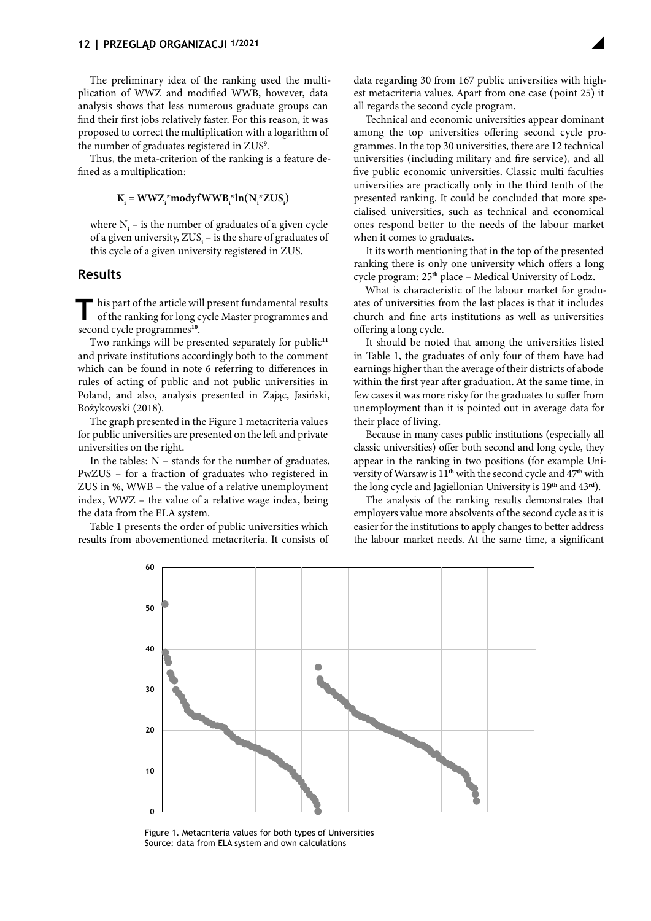The preliminary idea of the ranking used the multiplication of WWZ and modified WWB, however, data analysis shows that less numerous graduate groups can find their first jobs relatively faster. For this reason, it was proposed to correct the multiplication with a logarithm of the number of graduates registered in ZUS**[9](#page-6-0)** .

Thus, the meta-criterion of the ranking is a feature defined as a multiplication:

## $K_i = WWZ_i^* \text{mod}$  **w** $WW_1^* \text{ln}(N_i^* ZUS_i)$

where  $N_i$  – is the number of graduates of a given cycle of a given university, ZUS<sub>i</sub> – is the share of graduates of this cycle of a given university registered in ZUS.

## **Results**

This part of the article will present fundamental results of the ranking for long cycle Master programmes and second cycle programmes**[10](#page-6-0)**.

Two rankings will be presented separately for public**[11](#page-6-0)** and private institutions accordingly both to the comment which can be found in note 6 referring to differences in rules of acting of public and not public universities in Poland, and also, analysis presented in Zając, Jasiński, Bożykowski [\(2018\).](#page-7-0)

The graph presented in the Figure 1 metacriteria values for public universities are presented on the left and private universities on the right.

In the tables:  $N -$  stands for the number of graduates, PwZUS – for a fraction of graduates who registered in ZUS in %, WWB – the value of a relative unemployment index, WWZ – the value of a relative wage index, being the data from the ELA system.

Table 1 presents the order of public universities which results from abovementioned metacriteria. It consists of data regarding 30 from 167 public universities with highest metacriteria values. Apart from one case (point 25) it all regards the second cycle program.

Technical and economic universities appear dominant among the top universities offering second cycle programmes. In the top 30 universities, there are 12 technical universities (including military and fire service), and all five public economic universities. Classic multi faculties universities are practically only in the third tenth of the presented ranking. It could be concluded that more specialised universities, such as technical and economical ones respond better to the needs of the labour market when it comes to graduates.

It its worth mentioning that in the top of the presented ranking there is only one university which offers a long cycle program: 25**th** place – Medical University of Lodz.

What is characteristic of the labour market for graduates of universities from the last places is that it includes church and fine arts institutions as well as universities offering a long cycle.

It should be noted that among the universities listed in Table 1, the graduates of only four of them have had earnings higher than the average of their districts of abode within the first year after graduation. At the same time, in few cases it was more risky for the graduates to suffer from unemployment than it is pointed out in average data for their place of living.

Because in many cases public institutions (especially all classic universities) offer both second and long cycle, they appear in the ranking in two positions (for example University of Warsaw is 11**th** with the second cycle and 47**th** with the long cycle and Jagiellonian University is 19**th** and 43**rd**).

The analysis of the ranking results demonstrates that employers value more absolvents of the second cycle as it is easier for the institutions to apply changes to better address the labour market needs. At the same time, a significant



Figure 1. Metacriteria values for both types of Universities Source: data from ELA system and own calculations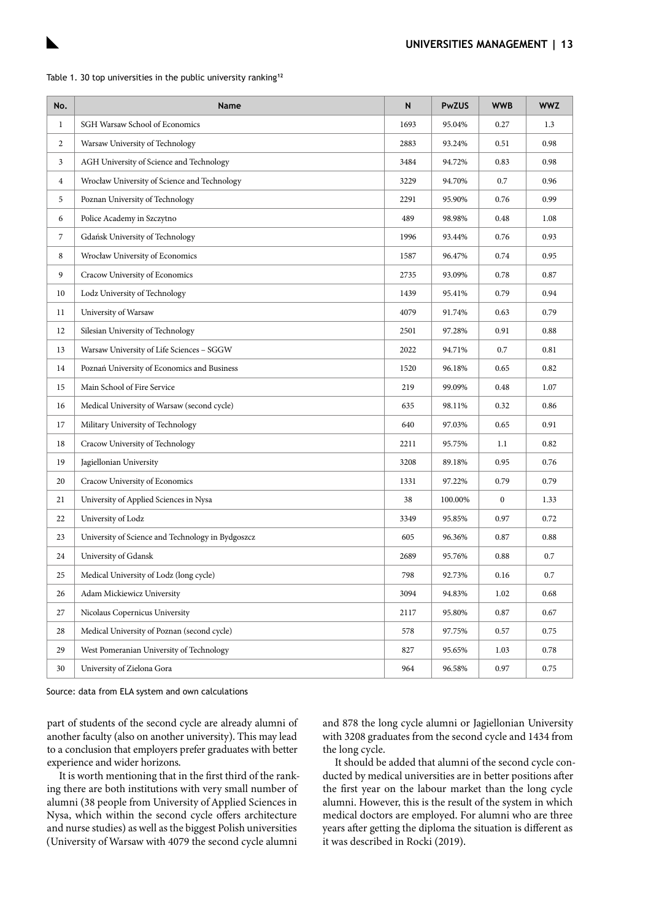

|  |  |  | Table 1. 30 top universities in the public university ranking <sup>12</sup> |  |  |  |  |  |
|--|--|--|-----------------------------------------------------------------------------|--|--|--|--|--|
|--|--|--|-----------------------------------------------------------------------------|--|--|--|--|--|

| No.            | Name                                              | N    | <b>PwZUS</b> | <b>WWB</b> | <b>WWZ</b> |
|----------------|---------------------------------------------------|------|--------------|------------|------------|
| $\mathbf{1}$   | SGH Warsaw School of Economics                    | 1693 | 95.04%       | 0.27       | 1.3        |
| 2              | Warsaw University of Technology                   | 2883 | 93.24%       | 0.51       | 0.98       |
| 3              | AGH University of Science and Technology          | 3484 | 94.72%       | 0.83       | 0.98       |
| $\overline{4}$ | Wrocław University of Science and Technology      | 3229 | 94.70%       | 0.7        | 0.96       |
| 5              | Poznan University of Technology                   | 2291 | 95.90%       | 0.76       | 0.99       |
| 6              | Police Academy in Szczytno                        | 489  | 98.98%       | 0.48       | 1.08       |
| $\overline{7}$ | Gdańsk University of Technology                   |      | 93.44%       | 0.76       | 0.93       |
| 8              | Wrocław University of Economics                   |      | 96.47%       | 0.74       | 0.95       |
| 9              | Cracow University of Economics                    |      | 93.09%       | 0.78       | 0.87       |
| 10             | Lodz University of Technology                     | 1439 | 95.41%       | 0.79       | 0.94       |
| 11             | University of Warsaw                              | 4079 | 91.74%       | 0.63       | 0.79       |
| 12             | Silesian University of Technology                 | 2501 | 97.28%       | 0.91       | 0.88       |
| 13             | Warsaw University of Life Sciences - SGGW         | 2022 | 94.71%       | 0.7        | 0.81       |
| 14             | Poznań University of Economics and Business       | 1520 | 96.18%       | 0.65       | 0.82       |
| 15             | Main School of Fire Service                       |      | 99.09%       | 0.48       | 1.07       |
| 16             | Medical University of Warsaw (second cycle)       |      | 98.11%       | 0.32       | 0.86       |
| 17             | Military University of Technology                 |      | 97.03%       | 0.65       | 0.91       |
| 18             | Cracow University of Technology                   | 2211 | 95.75%       | 1.1        | 0.82       |
| 19             | Jagiellonian University                           |      | 89.18%       | 0.95       | 0.76       |
| 20             | Cracow University of Economics                    | 1331 | 97.22%       | 0.79       | 0.79       |
| 21             | University of Applied Sciences in Nysa            | 38   | 100.00%      | $\bf{0}$   | 1.33       |
| 22             | University of Lodz                                | 3349 | 95.85%       | 0.97       | 0.72       |
| 23             | University of Science and Technology in Bydgoszcz | 605  | 96.36%       | 0.87       | 0.88       |
| 24             | University of Gdansk                              | 2689 | 95.76%       | 0.88       | $0.7\,$    |
| 25             | Medical University of Lodz (long cycle)           |      | 92.73%       | 0.16       | 0.7        |
| 26             | Adam Mickiewicz University                        | 3094 | 94.83%       | 1.02       | 0.68       |
| 27             | Nicolaus Copernicus University                    | 2117 | 95.80%       | 0.87       | 0.67       |
| 28             | Medical University of Poznan (second cycle)       | 578  | 97.75%       | 0.57       | 0.75       |
| 29             | West Pomeranian University of Technology          | 827  | 95.65%       | 1.03       | 0.78       |
| 30             | University of Zielona Gora                        |      | 96.58%       | 0.97       | 0.75       |

Source: data from ELA system and own calculations

part of students of the second cycle are already alumni of another faculty (also on another university). This may lead to a conclusion that employers prefer graduates with better experience and wider horizons.

It is worth mentioning that in the first third of the ranking there are both institutions with very small number of alumni (38 people from University of Applied Sciences in Nysa, which within the second cycle offers architecture and nurse studies) as well as the biggest Polish universities (University of Warsaw with 4079 the second cycle alumni

and 878 the long cycle alumni or Jagiellonian University with 3208 graduates from the second cycle and 1434 from the long cycle.

It should be added that alumni of the second cycle conducted by medical universities are in better positions after the first year on the labour market than the long cycle alumni. However, this is the result of the system in which medical doctors are employed. For alumni who are three years after getting the diploma the situation is different as it was described in Rocki [\(2019\).](#page-7-0)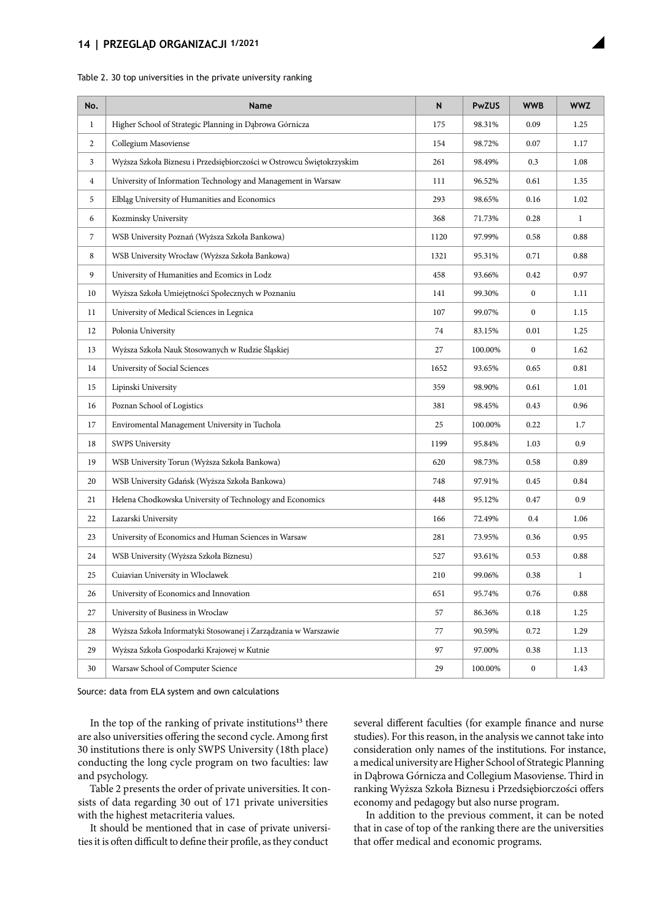#### **14 | PRZEGLĄD ORGANIZACJI 1/2021**

| No.            | Name                                                                 | $\mathsf{N}$ | <b>PwZUS</b> | <b>WWB</b>       | <b>WWZ</b>   |
|----------------|----------------------------------------------------------------------|--------------|--------------|------------------|--------------|
| $\mathbf{1}$   | Higher School of Strategic Planning in Dąbrowa Górnicza              | 175          | 98.31%       | 0.09             | 1.25         |
| $\overline{c}$ | Collegium Masoviense                                                 | 154          | 98.72%       | 0.07             | 1.17         |
| 3              | Wyższa Szkoła Biznesu i Przedsiębiorczości w Ostrowcu Świętokrzyskim | 261          | 98.49%       | 0.3              | 1.08         |
| $\overline{4}$ | University of Information Technology and Management in Warsaw        | 111          | 96.52%       | 0.61             | 1.35         |
| 5              | Elbląg University of Humanities and Economics                        | 293          | 98.65%       | 0.16             | 1.02         |
| 6              | Kozminsky University                                                 | 368          | 71.73%       | 0.28             | $\mathbf{1}$ |
| $\overline{7}$ | WSB University Poznań (Wyższa Szkoła Bankowa)                        | 1120         | 97.99%       | 0.58             | 0.88         |
| 8              | WSB University Wrocław (Wyższa Szkoła Bankowa)                       | 1321         | 95.31%       | 0.71             | 0.88         |
| 9              | University of Humanities and Ecomics in Lodz                         | 458          | 93.66%       | 0.42             | 0.97         |
| 10             | Wyższa Szkoła Umiejętności Społecznych w Poznaniu                    | 141          | 99.30%       | $\mathbf{0}$     | 1.11         |
| 11             | University of Medical Sciences in Legnica                            | 107          | 99.07%       | $\boldsymbol{0}$ | 1.15         |
| 12             | Polonia University                                                   | 74           | 83.15%       | 0.01             | 1.25         |
| 13             | Wyższa Szkoła Nauk Stosowanych w Rudzie Śląskiej                     | 27           | 100.00%      | $\mathbf{0}$     | 1.62         |
| 14             | University of Social Sciences                                        | 1652         | 93.65%       | 0.65             | 0.81         |
| 15             | Lipinski University                                                  | 359          | 98.90%       | 0.61             | 1.01         |
| 16             | Poznan School of Logistics                                           | 381          | 98.45%       | 0.43             | 0.96         |
| 17             | Enviromental Management University in Tuchola                        | 25           | 100.00%      | 0.22             | 1.7          |
| 18             | <b>SWPS University</b>                                               | 1199         | 95.84%       | 1.03             | 0.9          |
| 19             | WSB University Torun (Wyższa Szkoła Bankowa)                         | 620          | 98.73%       | 0.58             | 0.89         |
| 20             | WSB University Gdańsk (Wyższa Szkoła Bankowa)                        | 748          | 97.91%       | 0.45             | 0.84         |
| 21             | Helena Chodkowska University of Technology and Economics             | 448          | 95.12%       | 0.47             | 0.9          |
| 22             | Lazarski University                                                  | 166          | 72.49%       | 0.4              | 1.06         |
| 23             | University of Economics and Human Sciences in Warsaw                 | 281          | 73.95%       | 0.36             | 0.95         |
| 24             | WSB University (Wyższa Szkoła Biznesu)                               | 527          | 93.61%       | 0.53             | 0.88         |
| 25             | Cuiavian University in Wloclawek                                     | 210          | 99.06%       | 0.38             | $\mathbf{1}$ |
| 26             | University of Economics and Innovation                               | 651          | 95.74%       | 0.76             | 0.88         |
| 27             | University of Business in Wroclaw                                    | 57           | 86.36%       | 0.18             | 1.25         |
| 28             | Wyższa Szkoła Informatyki Stosowanej i Zarządzania w Warszawie       | 77           | 90.59%       | 0.72             | 1.29         |
| 29             | Wyższa Szkoła Gospodarki Krajowej w Kutnie                           | 97           | 97.00%       | 0.38             | 1.13         |
| 30             | Warsaw School of Computer Science                                    | 29           | 100.00%      | $\boldsymbol{0}$ | 1.43         |

#### Table 2. 30 top universities in the private university ranking

Source: data from ELA system and own calculations

In the top of the ranking of private institutions**[13](#page-6-0)** there are also universities offering the second cycle. Among first 30 institutions there is only SWPS University (18th place) conducting the long cycle program on two faculties: law and psychology.

Table 2 presents the order of private universities. It consists of data regarding 30 out of 171 private universities with the highest metacriteria values.

It should be mentioned that in case of private universities it is often difficult to define their profile, as they conduct

several different faculties (for example finance and nurse studies). For this reason, in the analysis we cannot take into consideration only names of the institutions. For instance, a medical university are Higher School of Strategic Planning in Dąbrowa Górnicza and Collegium Masoviense. Third in ranking Wyższa Szkoła Biznesu i Przedsiębiorczości offers economy and pedagogy but also nurse program.

In addition to the previous comment, it can be noted that in case of top of the ranking there are the universities that offer medical and economic programs.

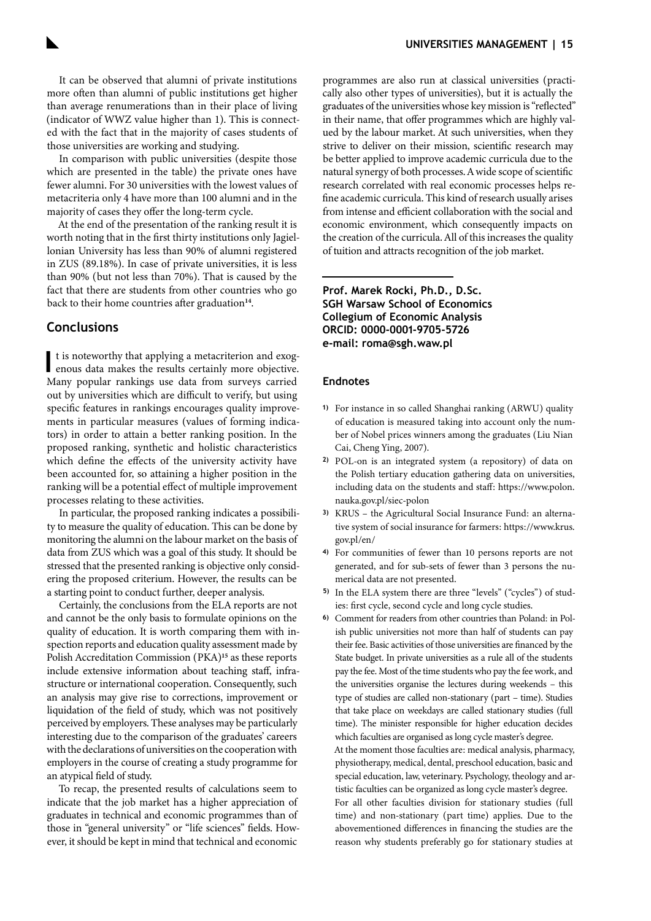<span id="page-6-0"></span>It can be observed that alumni of private institutions more often than alumni of public institutions get higher than average renumerations than in their place of living (indicator of WWZ value higher than 1). This is connected with the fact that in the majority of cases students of those universities are working and studying.

In comparison with public universities (despite those which are presented in the table) the private ones have fewer alumni. For 30 universities with the lowest values of metacriteria only 4 have more than 100 alumni and in the majority of cases they offer the long-term cycle.

At the end of the presentation of the ranking result it is worth noting that in the first thirty institutions only Jagiellonian University has less than 90% of alumni registered in ZUS (89.18%). In case of private universities, it is less than 90% (but not less than 70%). That is caused by the fact that there are students from other countries who go back to their home countries after graduation<sup>14</sup>.

## **Conclusions**

**I** t is noteworthy that applying a metacriterion and exogenous data makes the results certainly more objective. Many popular rankings use data from surveys carried out by universities which are difficult to verify, but using specific features in rankings encourages quality improvements in particular measures (values of forming indicators) in order to attain a better ranking position. In the proposed ranking, synthetic and holistic characteristics which define the effects of the university activity have been accounted for, so attaining a higher position in the ranking will be a potential effect of multiple improvement processes relating to these activities.

In particular, the proposed ranking indicates a possibility to measure the quality of education. This can be done by monitoring the alumni on the labour market on the basis of data from ZUS which was a goal of this study. It should be stressed that the presented ranking is objective only considering the proposed criterium. However, the results can be a starting point to conduct further, deeper analysis.

Certainly, the conclusions from the ELA reports are not and cannot be the only basis to formulate opinions on the quality of education. It is worth comparing them with inspection reports and education quality assessment made by Polish Accreditation Commission (PKA)**<sup>15</sup>** as these reports include extensive information about teaching staff, infrastructure or international cooperation. Consequently, such an analysis may give rise to corrections, improvement or liquidation of the field of study, which was not positively perceived by employers. These analyses may be particularly interesting due to the comparison of the graduates' careers with the declarations of universities on the cooperation with employers in the course of creating a study programme for an atypical field of study.

To recap, the presented results of calculations seem to indicate that the job market has a higher appreciation of graduates in technical and economic programmes than of those in "general university" or "life sciences" fields. However, it should be kept in mind that technical and economic

programmes are also run at classical universities (practically also other types of universities), but it is actually the graduates of the universities whose key mission is "reflected" in their name, that offer programmes which are highly valued by the labour market. At such universities, when they strive to deliver on their mission, scientific research may be better applied to improve academic curricula due to the natural synergy of both processes. A wide scope of scientific research correlated with real economic processes helps refine academic curricula. This kind of research usually arises from intense and efficient collaboration with the social and economic environment, which consequently impacts on the creation of the curricula. All of this increases the quality of tuition and attracts recognition of the job market.

**Prof. Marek Rocki, Ph.D., D.Sc. SGH Warsaw School of Economics Collegium of Economic Analysis ORCID: 0000-0001-9705-5726 e-mail: [roma@sgh.waw.pl](mailto:roma%40sgh.waw.pl?subject=)**

#### **Endnotes**

- **1)** For instance in so called Shanghai ranking (ARWU) quality of education is measured taking into account only the number of Nobel prices winners among the graduates [\(Liu Nian](#page-7-0) [Cai, Cheng Ying, 2007\).](#page-7-0)
- **2)** POL-on is an integrated system (a repository) of data on the Polish tertiary education gathering data on universities, including data on the students and staff: [https://www.polon.](https://www.polon.nauka.gov.pl/siec-polon) [nauka.gov.pl/siec-polon](https://www.polon.nauka.gov.pl/siec-polon)
- **3)** KRUS the Agricultural Social Insurance Fund: an alternative system of social insurance for farmers: [https://www.krus.](https://www.krus.gov.pl/en/) [gov.pl/en/](https://www.krus.gov.pl/en/)
- **4)** For communities of fewer than 10 persons reports are not generated, and for sub-sets of fewer than 3 persons the numerical data are not presented.
- **5)** In the ELA system there are three "levels" ("cycles") of studies: first cycle, second cycle and long cycle studies.
- **6)** Comment for readers from other countries than Poland: in Polish public universities not more than half of students can pay their fee. Basic activities of those universities are financed by the State budget. In private universities as a rule all of the students pay the fee. Most of the time students who pay the fee work, and the universities organise the lectures during weekends – this type of studies are called non-stationary (part – time). Studies that take place on weekdays are called stationary studies (full time). The minister responsible for higher education decides which faculties are organised as long cycle master's degree. At the moment those faculties are: medical analysis, pharmacy, physiotherapy, medical, dental, preschool education, basic and special education, law, veterinary. Psychology, theology and artistic faculties can be organized as long cycle master's degree.

For all other faculties division for stationary studies (full time) and non-stationary (part time) applies. Due to the abovementioned differences in financing the studies are the reason why students preferably go for stationary studies at